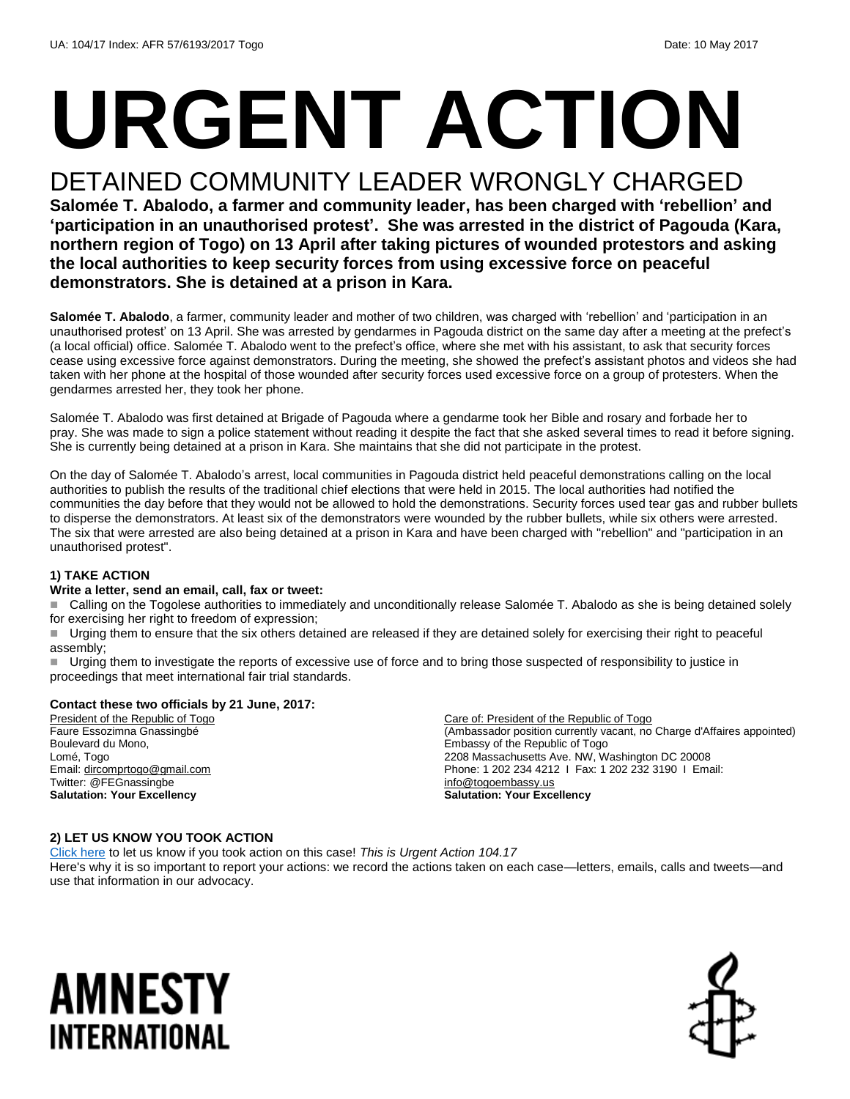# **URGENT ACTION**

## DETAINED COMMUNITY LEADER WRONGLY CHARGED

**Salomée T. Abalodo, a farmer and community leader, has been charged with 'rebellion' and 'participation in an unauthorised protest'. She was arrested in the district of Pagouda (Kara, northern region of Togo) on 13 April after taking pictures of wounded protestors and asking the local authorities to keep security forces from using excessive force on peaceful demonstrators. She is detained at a prison in Kara.** 

**Salomée T. Abalodo**, a farmer, community leader and mother of two children, was charged with 'rebellion' and 'participation in an unauthorised protest' on 13 April. She was arrested by gendarmes in Pagouda district on the same day after a meeting at the prefect's (a local official) office. Salomée T. Abalodo went to the prefect's office, where she met with his assistant, to ask that security forces cease using excessive force against demonstrators. During the meeting, she showed the prefect's assistant photos and videos she had taken with her phone at the hospital of those wounded after security forces used excessive force on a group of protesters. When the gendarmes arrested her, they took her phone.

Salomée T. Abalodo was first detained at Brigade of Pagouda where a gendarme took her Bible and rosary and forbade her to pray. She was made to sign a police statement without reading it despite the fact that she asked several times to read it before signing. She is currently being detained at a prison in Kara. She maintains that she did not participate in the protest.

On the day of Salomée T. Abalodo's arrest, local communities in Pagouda district held peaceful demonstrations calling on the local authorities to publish the results of the traditional chief elections that were held in 2015. The local authorities had notified the communities the day before that they would not be allowed to hold the demonstrations. Security forces used tear gas and rubber bullets to disperse the demonstrators. At least six of the demonstrators were wounded by the rubber bullets, while six others were arrested. The six that were arrested are also being detained at a prison in Kara and have been charged with "rebellion" and "participation in an unauthorised protest".

#### **1) TAKE ACTION**

#### **Write a letter, send an email, call, fax or tweet:**

■ Calling on the Togolese authorities to immediately and unconditionally release Salomée T. Abalodo as she is being detained solely for exercising her right to freedom of expression;

Urging them to ensure that the six others detained are released if they are detained solely for exercising their right to peaceful assembly;

Urging them to investigate the reports of excessive use of force and to bring those suspected of responsibility to justice in proceedings that meet international fair trial standards.

#### **Contact these two officials by 21 June, 2017:**

President of the Republic of Togo Faure Essozimna Gnassingbé Boulevard du Mono, Lomé, Togo Email[: dircomprtogo@gmail.com](mailto:dircomprtogo@gmail.com) Twitter: @FEGnassingbe **Salutation: Your Excellency**

Care of: President of the Republic of Togo (Ambassador position currently vacant, no Charge d'Affaires appointed) Embassy of the Republic of Togo 2208 Massachusetts Ave. NW, Washington DC 20008 Phone: 1 202 234 4212 I Fax: 1 202 232 3190 I Email: [info@togoembassy.us](mailto:info@togoembassy.us) **Salutation: Your Excellency**

#### **2) LET US KNOW YOU TOOK ACTION**

[Click here](https://docs.google.com/forms/d/e/1FAIpQLSf3RUspces4lA9Gt7Fp9GiAcojCs6fnfFOTCLli3Su6c3S8ew/viewform) to let us know if you took action on this case! *This is Urgent Action 104.17* Here's why it is so important to report your actions: we record the actions taken on each case—letters, emails, calls and tweets—and use that information in our advocacy.